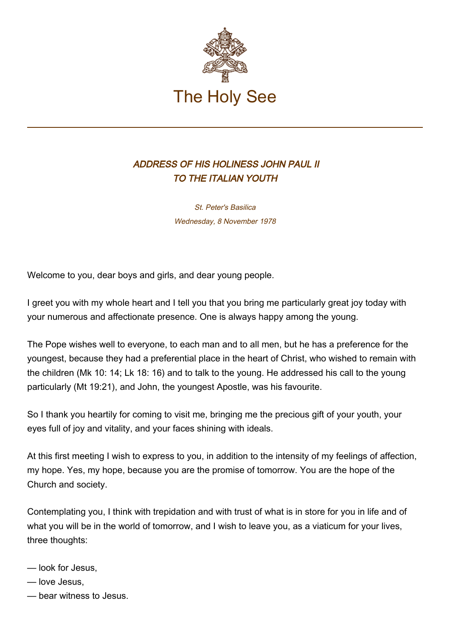

## ADDRESS OF HIS HOLINESS JOHN PAUL II TO THE ITALIAN YOUTH

St. Peter's Basilica Wednesday, 8 November 1978

Welcome to you, dear boys and girls, and dear young people.

I greet you with my whole heart and I tell you that you bring me particularly great joy today with your numerous and affectionate presence. One is always happy among the young.

The Pope wishes well to everyone, to each man and to all men, but he has a preference for the youngest, because they had a preferential place in the heart of Christ, who wished to remain with the children (Mk 10: 14; Lk 18: 16) and to talk to the young. He addressed his call to the young particularly (Mt 19:21), and John, the youngest Apostle, was his favourite.

So I thank you heartily for coming to visit me, bringing me the precious gift of your youth, your eyes full of joy and vitality, and your faces shining with ideals.

At this first meeting I wish to express to you, in addition to the intensity of my feelings of affection, my hope. Yes, my hope, because you are the promise of tomorrow. You are the hope of the Church and society.

Contemplating you, I think with trepidation and with trust of what is in store for you in life and of what you will be in the world of tomorrow, and I wish to leave you, as a viaticum for your lives, three thoughts:

- look for Jesus,
- love Jesus,
- bear witness to Jesus.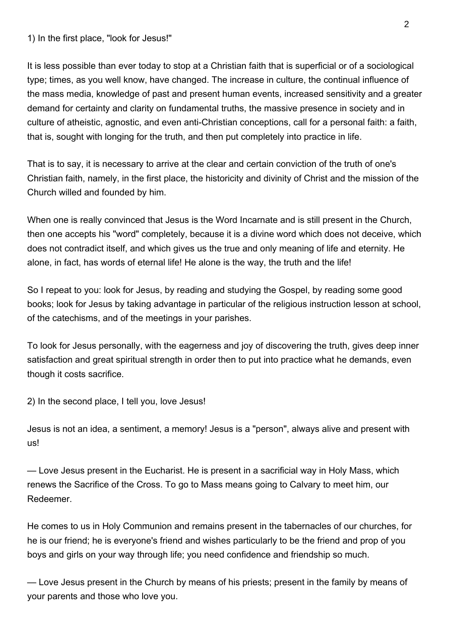1) In the first place, "look for Jesus!"

It is less possible than ever today to stop at a Christian faith that is superficial or of a sociological type; times, as you well know, have changed. The increase in culture, the continual influence of the mass media, knowledge of past and present human events, increased sensitivity and a greater demand for certainty and clarity on fundamental truths, the massive presence in society and in culture of atheistic, agnostic, and even anti-Christian conceptions, call for a personal faith: a faith, that is, sought with longing for the truth, and then put completely into practice in life.

That is to say, it is necessary to arrive at the clear and certain conviction of the truth of one's Christian faith, namely, in the first place, the historicity and divinity of Christ and the mission of the Church willed and founded by him.

When one is really convinced that Jesus is the Word Incarnate and is still present in the Church, then one accepts his "word" completely, because it is a divine word which does not deceive, which does not contradict itself, and which gives us the true and only meaning of life and eternity. He alone, in fact, has words of eternal life! He alone is the way, the truth and the life!

So I repeat to you: look for Jesus, by reading and studying the Gospel, by reading some good books; look for Jesus by taking advantage in particular of the religious instruction lesson at school, of the catechisms, and of the meetings in your parishes.

To look for Jesus personally, with the eagerness and joy of discovering the truth, gives deep inner satisfaction and great spiritual strength in order then to put into practice what he demands, even though it costs sacrifice.

2) In the second place, I tell you, love Jesus!

Jesus is not an idea, a sentiment, a memory! Jesus is a "person", always alive and present with us!

— Love Jesus present in the Eucharist. He is present in a sacrificial way in Holy Mass, which renews the Sacrifice of the Cross. To go to Mass means going to Calvary to meet him, our Redeemer.

He comes to us in Holy Communion and remains present in the tabernacles of our churches, for he is our friend; he is everyone's friend and wishes particularly to be the friend and prop of you boys and girls on your way through life; you need confidence and friendship so much.

— Love Jesus present in the Church by means of his priests; present in the family by means of your parents and those who love you.